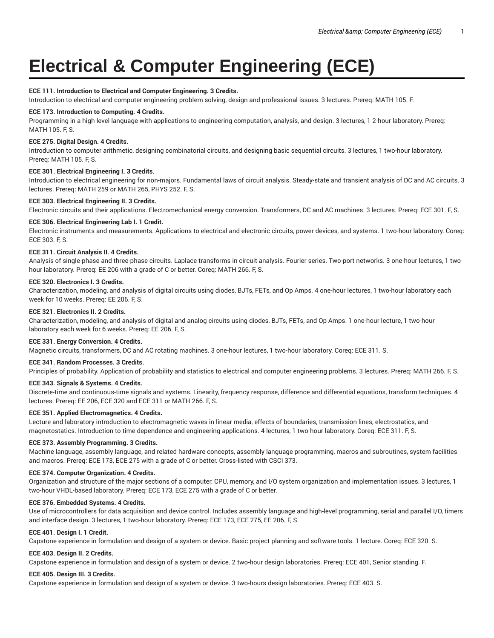# **Electrical & Computer Engineering (ECE)**

# **ECE 111. Introduction to Electrical and Computer Engineering. 3 Credits.**

Introduction to electrical and computer engineering problem solving, design and professional issues. 3 lectures. Prereq: MATH 105. F.

# **ECE 173. Introduction to Computing. 4 Credits.**

Programming in a high level language with applications to engineering computation, analysis, and design. 3 lectures, 1 2-hour laboratory. Prereq: MATH 105. F, S.

#### **ECE 275. Digital Design. 4 Credits.**

Introduction to computer arithmetic, designing combinatorial circuits, and designing basic sequential circuits. 3 lectures, 1 two-hour laboratory. Prereq: MATH 105. F, S.

#### **ECE 301. Electrical Engineering I. 3 Credits.**

Introduction to electrical engineering for non-majors. Fundamental laws of circuit analysis. Steady-state and transient analysis of DC and AC circuits. 3 lectures. Prereq: MATH 259 or MATH 265, PHYS 252. F, S.

#### **ECE 303. Electrical Engineering II. 3 Credits.**

Electronic circuits and their applications. Electromechanical energy conversion. Transformers, DC and AC machines. 3 lectures. Prereq: ECE 301. F, S.

## **ECE 306. Electrical Engineering Lab I. 1 Credit.**

Electronic instruments and measurements. Applications to electrical and electronic circuits, power devices, and systems. 1 two-hour laboratory. Coreq: ECE 303. F, S.

#### **ECE 311. Circuit Analysis II. 4 Credits.**

Analysis of single-phase and three-phase circuits. Laplace transforms in circuit analysis. Fourier series. Two-port networks. 3 one-hour lectures, 1 twohour laboratory. Prereq: EE 206 with a grade of C or better. Coreq: MATH 266. F, S.

#### **ECE 320. Electronics I. 3 Credits.**

Characterization, modeling, and analysis of digital circuits using diodes, BJTs, FETs, and Op Amps. 4 one-hour lectures, 1 two-hour laboratory each week for 10 weeks. Prereq: EE 206. F, S.

#### **ECE 321. Electronics II. 2 Credits.**

Characterization, modeling, and analysis of digital and analog circuits using diodes, BJTs, FETs, and Op Amps. 1 one-hour lecture, 1 two-hour laboratory each week for 6 weeks. Prereq: EE 206. F, S.

#### **ECE 331. Energy Conversion. 4 Credits.**

Magnetic circuits, transformers, DC and AC rotating machines. 3 one-hour lectures, 1 two-hour laboratory. Coreq: ECE 311. S.

#### **ECE 341. Random Processes. 3 Credits.**

Principles of probability. Application of probability and statistics to electrical and computer engineering problems. 3 lectures. Prereq: MATH 266. F, S.

## **ECE 343. Signals & Systems. 4 Credits.**

Discrete-time and continuous-time signals and systems. Linearity, frequency response, difference and differential equations, transform techniques. 4 lectures. Prereq: EE 206, ECE 320 and ECE 311 or MATH 266. F, S.

## **ECE 351. Applied Electromagnetics. 4 Credits.**

Lecture and laboratory introduction to electromagnetic waves in linear media, effects of boundaries, transmission lines, electrostatics, and magnetostatics. Introduction to time dependence and engineering applications. 4 lectures, 1 two-hour laboratory. Coreq: ECE 311. F, S.

#### **ECE 373. Assembly Programming. 3 Credits.**

Machine language, assembly language, and related hardware concepts, assembly language programming, macros and subroutines, system facilities and macros. Prereq: ECE 173, ECE 275 with a grade of C or better. Cross-listed with CSCI 373.

## **ECE 374. Computer Organization. 4 Credits.**

Organization and structure of the major sections of a computer: CPU, memory, and I/O system organization and implementation issues. 3 lectures, 1 two-hour VHDL-based laboratory. Prereq: ECE 173, ECE 275 with a grade of C or better.

#### **ECE 376. Embedded Systems. 4 Credits.**

Use of microcontrollers for data acquisition and device control. Includes assembly language and high-level programming, serial and parallel I/O, timers and interface design. 3 lectures, 1 two-hour laboratory. Prereq: ECE 173, ECE 275, EE 206. F, S.

## **ECE 401. Design I. 1 Credit.**

Capstone experience in formulation and design of a system or device. Basic project planning and software tools. 1 lecture. Coreq: ECE 320. S.

# **ECE 403. Design II. 2 Credits.**

Capstone experience in formulation and design of a system or device. 2 two-hour design laboratories. Prereq: ECE 401, Senior standing. F.

#### **ECE 405. Design III. 3 Credits.**

Capstone experience in formulation and design of a system or device. 3 two-hours design laboratories. Prereq: ECE 403. S.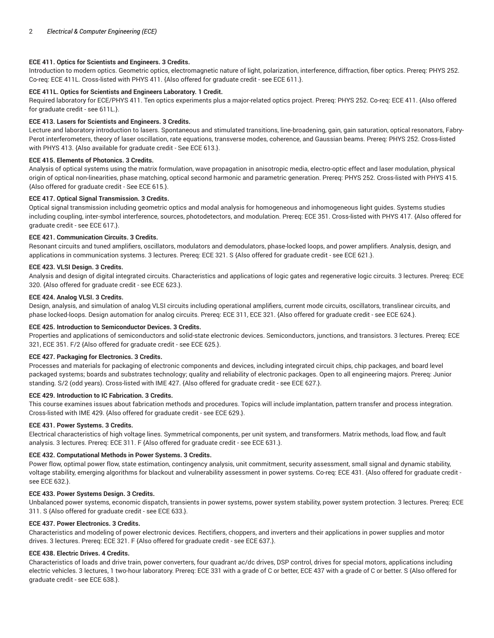# **ECE 411. Optics for Scientists and Engineers. 3 Credits.**

Introduction to modern optics. Geometric optics, electromagnetic nature of light, polarization, interference, diffraction, fiber optics. Prereq: PHYS 252. Co-req: ECE 411L. Cross-listed with PHYS 411. {Also offered for graduate credit - see ECE 611.}.

# **ECE 411L. Optics for Scientists and Engineers Laboratory. 1 Credit.**

Required laboratory for ECE/PHYS 411. Ten optics experiments plus a major-related optics project. Prereq: PHYS 252. Co-req: ECE 411. {Also offered for graduate credit - see 611L.}.

# **ECE 413. Lasers for Scientists and Engineers. 3 Credits.**

Lecture and laboratory introduction to lasers. Spontaneous and stimulated transitions, line-broadening, gain, gain saturation, optical resonators, Fabry-Perot interferometers, theory of laser oscillation, rate equations, transverse modes, coherence, and Gaussian beams. Prereq: PHYS 252. Cross-listed with PHYS 413. {Also available for graduate credit - See ECE 613.}.

# **ECE 415. Elements of Photonics. 3 Credits.**

Analysis of optical systems using the matrix formulation, wave propagation in anisotropic media, electro-optic effect and laser modulation, physical origin of optical non-linearities, phase matching, optical second harmonic and parametric generation. Prereq: PHYS 252. Cross-listed with PHYS 415. {Also offered for graduate credit - See ECE 615.}.

# **ECE 417. Optical Signal Transmission. 3 Credits.**

Optical signal transmission including geometric optics and modal analysis for homogeneous and inhomogeneous light guides. Systems studies including coupling, inter-symbol interference, sources, photodetectors, and modulation. Prereq: ECE 351. Cross-listed with PHYS 417. {Also offered for graduate credit - see ECE 617.}.

# **ECE 421. Communication Circuits. 3 Credits.**

Resonant circuits and tuned amplifiers, oscillators, modulators and demodulators, phase-locked loops, and power amplifiers. Analysis, design, and applications in communication systems. 3 lectures. Prereq: ECE 321. S {Also offered for graduate credit - see ECE 621.}.

# **ECE 423. VLSI Design. 3 Credits.**

Analysis and design of digital integrated circuits. Characteristics and applications of logic gates and regenerative logic circuits. 3 lectures. Prereq: ECE 320. {Also offered for graduate credit - see ECE 623.}.

# **ECE 424. Analog VLSI. 3 Credits.**

Design, analysis, and simulation of analog VLSI circuits including operational amplifiers, current mode circuits, oscillators, translinear circuits, and phase locked-loops. Design automation for analog circuits. Prereq: ECE 311, ECE 321. {Also offered for graduate credit - see ECE 624.}.

## **ECE 425. Introduction to Semiconductor Devices. 3 Credits.**

Properties and applications of semiconductors and solid-state electronic devices. Semiconductors, junctions, and transistors. 3 lectures. Prereq: ECE 321, ECE 351. F/2 {Also offered for graduate credit - see ECE 625.}.

## **ECE 427. Packaging for Electronics. 3 Credits.**

Processes and materials for packaging of electronic components and devices, including integrated circuit chips, chip packages, and board level packaged systems; boards and substrates technology; quality and reliability of electronic packages. Open to all engineering majors. Prereq: Junior standing. S/2 (odd years). Cross-listed with IME 427. {Also offered for graduate credit - see ECE 627.}.

## **ECE 429. Introduction to IC Fabrication. 3 Credits.**

This course examines issues about fabrication methods and procedures. Topics will include implantation, pattern transfer and process integration. Cross-listed with IME 429. {Also offered for graduate credit - see ECE 629.}.

## **ECE 431. Power Systems. 3 Credits.**

Electrical characteristics of high voltage lines. Symmetrical components, per unit system, and transformers. Matrix methods, load flow, and fault analysis. 3 lectures. Prereq: ECE 311. F {Also offered for graduate credit - see ECE 631.}.

## **ECE 432. Computational Methods in Power Systems. 3 Credits.**

Power flow, optimal power flow, state estimation, contingency analysis, unit commitment, security assessment, small signal and dynamic stability, voltage stability, emerging algorithms for blackout and vulnerability assessment in power systems. Co-req: ECE 431. {Also offered for graduate credit see ECE 632.}.

## **ECE 433. Power Systems Design. 3 Credits.**

Unbalanced power systems, economic dispatch, transients in power systems, power system stability, power system protection. 3 lectures. Prereq: ECE 311. S {Also offered for graduate credit - see ECE 633.}.

## **ECE 437. Power Electronics. 3 Credits.**

Characteristics and modeling of power electronic devices. Rectifiers, choppers, and inverters and their applications in power supplies and motor drives. 3 lectures. Prereq: ECE 321. F {Also offered for graduate credit - see ECE 637.}.

## **ECE 438. Electric Drives. 4 Credits.**

Characteristics of loads and drive train, power converters, four quadrant ac/dc drives, DSP control, drives for special motors, applications including electric vehicles. 3 lectures, 1 two-hour laboratory. Prereq: ECE 331 with a grade of C or better, ECE 437 with a grade of C or better. S {Also offered for graduate credit - see ECE 638.}.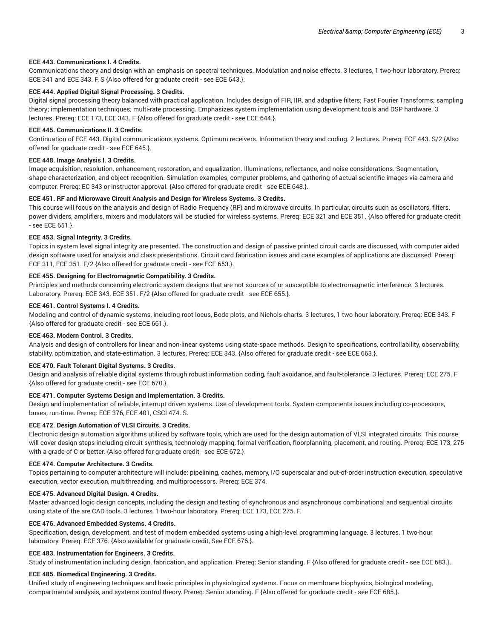#### **ECE 443. Communications I. 4 Credits.**

Communications theory and design with an emphasis on spectral techniques. Modulation and noise effects. 3 lectures, 1 two-hour laboratory. Prereq: ECE 341 and ECE 343. F, S {Also offered for graduate credit - see ECE 643.}.

# **ECE 444. Applied Digital Signal Processing. 3 Credits.**

Digital signal processing theory balanced with practical application. Includes design of FIR, IIR, and adaptive filters; Fast Fourier Transforms; sampling theory; implementation techniques; multi-rate processing. Emphasizes system implementation using development tools and DSP hardware. 3 lectures. Prereq: ECE 173, ECE 343. F {Also offered for graduate credit - see ECE 644.}.

#### **ECE 445. Communications II. 3 Credits.**

Continuation of ECE 443. Digital communications systems. Optimum receivers. Information theory and coding. 2 lectures. Prereq: ECE 443. S/2 {Also offered for graduate credit - see ECE 645.}.

#### **ECE 448. Image Analysis I. 3 Credits.**

Image acquisition, resolution, enhancement, restoration, and equalization. Illuminations, reflectance, and noise considerations. Segmentation, shape characterization, and object recognition. Simulation examples, computer problems, and gathering of actual scientific images via camera and computer. Prereq: EC 343 or instructor approval. {Also offered for graduate credit - see ECE 648.}.

## **ECE 451. RF and Microwave Circuit Analysis and Design for Wireless Systems. 3 Credits.**

This course will focus on the analysis and design of Radio Frequency (RF) and microwave circuits. In particular, circuits such as oscillators, filters, power dividers, amplifiers, mixers and modulators will be studied for wireless systems. Prereq: ECE 321 and ECE 351. {Also offered for graduate credit - see ECE 651.}.

#### **ECE 453. Signal Integrity. 3 Credits.**

Topics in system level signal integrity are presented. The construction and design of passive printed circuit cards are discussed, with computer aided design software used for analysis and class presentations. Circuit card fabrication issues and case examples of applications are discussed. Prereq: ECE 311, ECE 351. F/2 {Also offered for graduate credit - see ECE 653.}.

#### **ECE 455. Designing for Electromagnetic Compatibility. 3 Credits.**

Principles and methods concerning electronic system designs that are not sources of or susceptible to electromagnetic interference. 3 lectures. Laboratory. Prereq: ECE 343, ECE 351. F/2 {Also offered for graduate credit - see ECE 655.}.

#### **ECE 461. Control Systems I. 4 Credits.**

Modeling and control of dynamic systems, including root-locus, Bode plots, and Nichols charts. 3 lectures, 1 two-hour laboratory. Prereq: ECE 343. F {Also offered for graduate credit - see ECE 661.}.

#### **ECE 463. Modern Control. 3 Credits.**

Analysis and design of controllers for linear and non-linear systems using state-space methods. Design to specifications, controllability, observability, stability, optimization, and state-estimation. 3 lectures. Prereq: ECE 343. {Also offered for graduate credit - see ECE 663.}.

#### **ECE 470. Fault Tolerant Digital Systems. 3 Credits.**

Design and analysis of reliable digital systems through robust information coding, fault avoidance, and fault-tolerance. 3 lectures. Prereq: ECE 275. F {Also offered for graduate credit - see ECE 670.}.

#### **ECE 471. Computer Systems Design and Implementation. 3 Credits.**

Design and implementation of reliable, interrupt driven systems. Use of development tools. System components issues including co-processors, buses, run-time. Prereq: ECE 376, ECE 401, CSCI 474. S.

## **ECE 472. Design Automation of VLSI Circuits. 3 Credits.**

Electronic design automation algorithms utilized by software tools, which are used for the design automation of VLSI integrated circuits. This course will cover design steps including circuit synthesis, technology mapping, formal verification, floorplanning, placement, and routing. Prereq: ECE 173, 275 with a grade of C or better. {Also offered for graduate credit - see ECE 672.}.

## **ECE 474. Computer Architecture. 3 Credits.**

Topics pertaining to computer architecture will include: pipelining, caches, memory, I/O superscalar and out-of-order instruction execution, speculative execution, vector execution, multithreading, and multiprocessors. Prereq: ECE 374.

#### **ECE 475. Advanced Digital Design. 4 Credits.**

Master advanced logic design concepts, including the design and testing of synchronous and asynchronous combinational and sequential circuits using state of the are CAD tools. 3 lectures, 1 two-hour laboratory. Prereq: ECE 173, ECE 275. F.

#### **ECE 476. Advanced Embedded Systems. 4 Credits.**

Specification, design, development, and test of modern embedded systems using a high-level programming language. 3 lectures, 1 two-hour laboratory. Prereq: ECE 376. {Also available for graduate credit, See ECE 676.}.

#### **ECE 483. Instrumentation for Engineers. 3 Credits.**

Study of instrumentation including design, fabrication, and application. Prereq: Senior standing. F {Also offered for graduate credit - see ECE 683.}.

#### **ECE 485. Biomedical Engineering. 3 Credits.**

Unified study of engineering techniques and basic principles in physiological systems. Focus on membrane biophysics, biological modeling, compartmental analysis, and systems control theory. Prereq: Senior standing. F {Also offered for graduate credit - see ECE 685.}.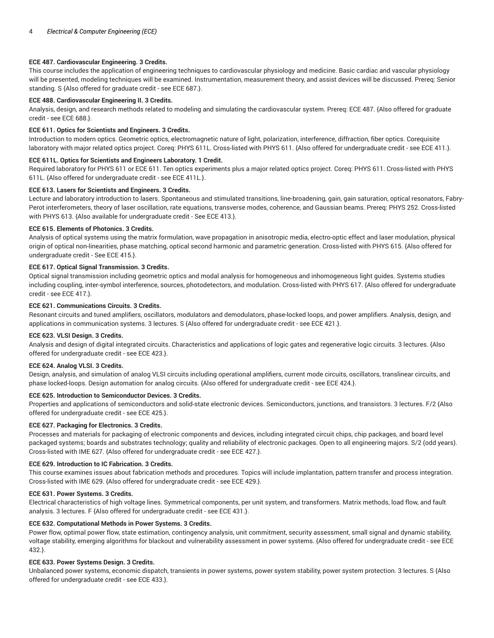# **ECE 487. Cardiovascular Engineering. 3 Credits.**

This course includes the application of engineering techniques to cardiovascular physiology and medicine. Basic cardiac and vascular physiology will be presented, modeling techniques will be examined. Instrumentation, measurement theory, and assist devices will be discussed. Prereq: Senior standing. S {Also offered for graduate credit - see ECE 687.}.

# **ECE 488. Cardiovascular Engineering II. 3 Credits.**

Analysis, design, and research methods related to modeling and simulating the cardiovascular system. Prereq: ECE 487. {Also offered for graduate credit - see ECE 688.}.

# **ECE 611. Optics for Scientists and Engineers. 3 Credits.**

Introduction to modern optics. Geometric optics, electromagnetic nature of light, polarization, interference, diffraction, fiber optics. Corequisite laboratory with major related optics project. Coreq: PHYS 611L. Cross-listed with PHYS 611. {Also offered for undergraduate credit - see ECE 411.}.

# **ECE 611L. Optics for Scientists and Engineers Laboratory. 1 Credit.**

Required laboratory for PHYS 611 or ECE 611. Ten optics experiments plus a major related optics project. Coreq: PHYS 611. Cross-listed with PHYS 611L. {Also offered for undergraduate credit - see ECE 411L.}.

# **ECE 613. Lasers for Scientists and Engineers. 3 Credits.**

Lecture and laboratory introduction to lasers. Spontaneous and stimulated transitions, line-broadening, gain, gain saturation, optical resonators, Fabry-Perot interferometers, theory of laser oscillation, rate equations, transverse modes, coherence, and Gaussian beams. Prereq: PHYS 252. Cross-listed with PHYS 613. {Also available for undergraduate credit - See ECE 413.}.

# **ECE 615. Elements of Photonics. 3 Credits.**

Analysis of optical systems using the matrix formulation, wave propagation in anisotropic media, electro-optic effect and laser modulation, physical origin of optical non-linearities, phase matching, optical second harmonic and parametric generation. Cross-listed with PHYS 615. {Also offered for undergraduate credit - See ECE 415.}.

# **ECE 617. Optical Signal Transmission. 3 Credits.**

Optical signal transmission including geometric optics and modal analysis for homogeneous and inhomogeneous light guides. Systems studies including coupling, inter-symbol interference, sources, photodetectors, and modulation. Cross-listed with PHYS 617. {Also offered for undergraduate credit - see ECE 417.}.

# **ECE 621. Communications Circuits. 3 Credits.**

Resonant circuits and tuned amplifiers, oscillators, modulators and demodulators, phase-locked loops, and power amplifiers. Analysis, design, and applications in communication systems. 3 lectures. S {Also offered for undergraduate credit - see ECE 421.}.

## **ECE 623. VLSI Design. 3 Credits.**

Analysis and design of digital integrated circuits. Characteristics and applications of logic gates and regenerative logic circuits. 3 lectures. {Also offered for undergraduate credit - see ECE 423.}.

## **ECE 624. Analog VLSI. 3 Credits.**

Design, analysis, and simulation of analog VLSI circuits including operational amplifiers, current mode circuits, oscillators, translinear circuits, and phase locked-loops. Design automation for analog circuits. {Also offered for undergraduate credit - see ECE 424.}.

## **ECE 625. Introduction to Semiconductor Devices. 3 Credits.**

Properties and applications of semiconductors and solid-state electronic devices. Semiconductors, junctions, and transistors. 3 lectures. F/2 {Also offered for undergraduate credit - see ECE 425.}.

## **ECE 627. Packaging for Electronics. 3 Credits.**

Processes and materials for packaging of electronic components and devices, including integrated circuit chips, chip packages, and board level packaged systems; boards and substrates technology; quality and reliability of electronic packages. Open to all engineering majors. S/2 (odd years). Cross-listed with IME 627. {Also offered for undergraduate credit - see ECE 427.}.

## **ECE 629. Introduction to IC Fabrication. 3 Credits.**

This course examines issues about fabrication methods and procedures. Topics will include implantation, pattern transfer and process integration. Cross-listed with IME 629. {Also offered for undergraduate credit - see ECE 429.}.

## **ECE 631. Power Systems. 3 Credits.**

Electrical characteristics of high voltage lines. Symmetrical components, per unit system, and transformers. Matrix methods, load flow, and fault analysis. 3 lectures. F {Also offered for undergraduate credit - see ECE 431.}.

# **ECE 632. Computational Methods in Power Systems. 3 Credits.**

Power flow, optimal power flow, state estimation, contingency analysis, unit commitment, security assessment, small signal and dynamic stability, voltage stability, emerging algorithms for blackout and vulnerability assessment in power systems. {Also offered for undergraduate credit - see ECE 432.}.

## **ECE 633. Power Systems Design. 3 Credits.**

Unbalanced power systems, economic dispatch, transients in power systems, power system stability, power system protection. 3 lectures. S {Also offered for undergraduate credit - see ECE 433.}.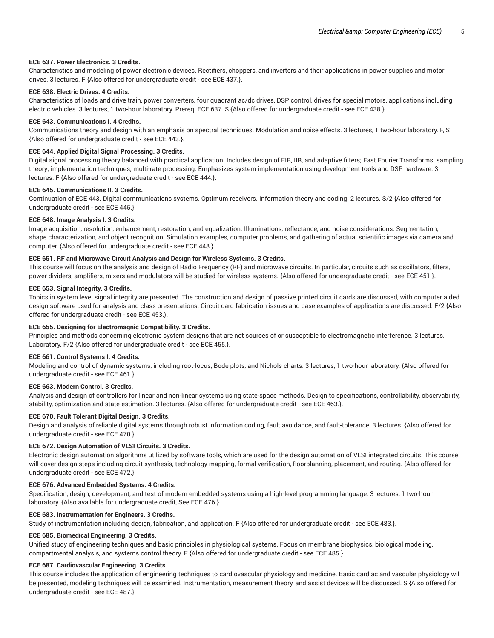## **ECE 637. Power Electronics. 3 Credits.**

Characteristics and modeling of power electronic devices. Rectifiers, choppers, and inverters and their applications in power supplies and motor drives. 3 lectures. F {Also offered for undergraduate credit - see ECE 437.}.

# **ECE 638. Electric Drives. 4 Credits.**

Characteristics of loads and drive train, power converters, four quadrant ac/dc drives, DSP control, drives for special motors, applications including electric vehicles. 3 lectures, 1 two-hour laboratory. Prereq: ECE 637. S {Also offered for undergraduate credit - see ECE 438.}.

#### **ECE 643. Communications I. 4 Credits.**

Communications theory and design with an emphasis on spectral techniques. Modulation and noise effects. 3 lectures, 1 two-hour laboratory. F, S {Also offered for undergraduate credit - see ECE 443.}.

#### **ECE 644. Applied Digital Signal Processing. 3 Credits.**

Digital signal processing theory balanced with practical application. Includes design of FIR, IIR, and adaptive filters; Fast Fourier Transforms; sampling theory; implementation techniques; multi-rate processing. Emphasizes system implementation using development tools and DSP hardware. 3 lectures. F {Also offered for undergraduate credit - see ECE 444.}.

# **ECE 645. Communications II. 3 Credits.**

Continuation of ECE 443. Digital communications systems. Optimum receivers. Information theory and coding. 2 lectures. S/2 {Also offered for undergraduate credit - see ECE 445.}.

#### **ECE 648. Image Analysis I. 3 Credits.**

Image acquisition, resolution, enhancement, restoration, and equalization. Illuminations, reflectance, and noise considerations. Segmentation, shape characterization, and object recognition. Simulation examples, computer problems, and gathering of actual scientific images via camera and computer. {Also offered for undergraduate credit - see ECE 448.}.

#### **ECE 651. RF and Microwave Circuit Analysis and Design for Wireless Systems. 3 Credits.**

This course will focus on the analysis and design of Radio Frequency (RF) and microwave circuits. In particular, circuits such as oscillators, filters, power dividers, amplifiers, mixers and modulators will be studied for wireless systems. {Also offered for undergraduate credit - see ECE 451.}.

#### **ECE 653. Signal Integrity. 3 Credits.**

Topics in system level signal integrity are presented. The construction and design of passive printed circuit cards are discussed, with computer aided design software used for analysis and class presentations. Circuit card fabrication issues and case examples of applications are discussed. F/2 {Also offered for undergraduate credit - see ECE 453.}.

## **ECE 655. Designing for Electromagnic Compatibility. 3 Credits.**

Principles and methods concerning electronic system designs that are not sources of or susceptible to electromagnetic interference. 3 lectures. Laboratory. F/2 {Also offered for undergraduate credit - see ECE 455.}.

#### **ECE 661. Control Systems I. 4 Credits.**

Modeling and control of dynamic systems, including root-locus, Bode plots, and Nichols charts. 3 lectures, 1 two-hour laboratory. {Also offered for undergraduate credit - see ECE 461.}.

#### **ECE 663. Modern Control. 3 Credits.**

Analysis and design of controllers for linear and non-linear systems using state-space methods. Design to specifications, controllability, observability, stability, optimization and state-estimation. 3 lectures. {Also offered for undergraduate credit - see ECE 463.}.

## **ECE 670. Fault Tolerant Digital Design. 3 Credits.**

Design and analysis of reliable digital systems through robust information coding, fault avoidance, and fault-tolerance. 3 lectures. {Also offered for undergraduate credit - see ECE 470.}.

## **ECE 672. Design Automation of VLSI Circuits. 3 Credits.**

Electronic design automation algorithms utilized by software tools, which are used for the design automation of VLSI integrated circuits. This course will cover design steps including circuit synthesis, technology mapping, formal verification, floorplanning, placement, and routing. {Also offered for undergraduate credit - see ECE 472.}.

#### **ECE 676. Advanced Embedded Systems. 4 Credits.**

Specification, design, development, and test of modern embedded systems using a high-level programming language. 3 lectures, 1 two-hour laboratory. {Also available for undergraduate credit, See ECE 476.}.

#### **ECE 683. Instrumentation for Engineers. 3 Credits.**

Study of instrumentation including design, fabrication, and application. F {Also offered for undergraduate credit - see ECE 483.}.

## **ECE 685. Biomedical Engineering. 3 Credits.**

Unified study of engineering techniques and basic principles in physiological systems. Focus on membrane biophysics, biological modeling, compartmental analysis, and systems control theory. F {Also offered for undergraduate credit - see ECE 485.}.

#### **ECE 687. Cardiovascular Engineering. 3 Credits.**

This course includes the application of engineering techniques to cardiovascular physiology and medicine. Basic cardiac and vascular physiology will be presented, modeling techniques will be examined. Instrumentation, measurement theory, and assist devices will be discussed. S {Also offered for undergraduate credit - see ECE 487.}.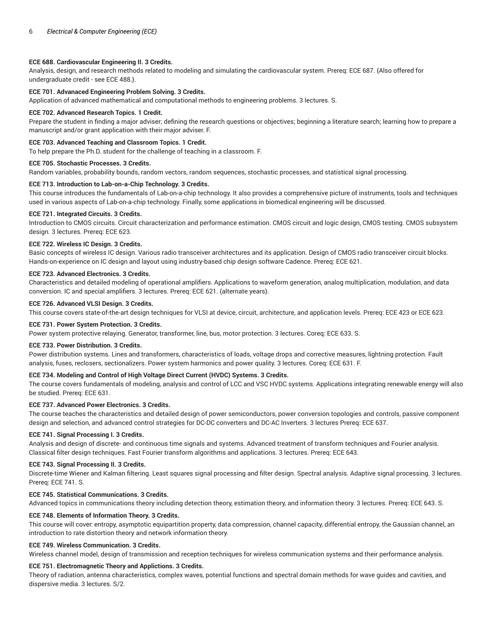## **ECE 688. Cardiovascular Engineering II. 3 Credits.**

Analysis, design, and research methods related to modeling and simulating the cardiovascular system. Prereq: ECE 687. {Also offered for undergraduate credit - see ECE 488.}.

# **ECE 701. Advanaced Engineering Problem Solving. 3 Credits.**

Application of advanced mathematical and computational methods to engineering problems. 3 lectures. S.

#### **ECE 702. Advanced Research Topics. 1 Credit.**

Prepare the student in finding a major adviser; defining the research questions or objectives; beginning a literature search; learning how to prepare a manuscript and/or grant application with their major adviser. F.

# **ECE 703. Advanced Teaching and Classroom Topics. 1 Credit.**

To help prepare the Ph.D. student for the challenge of teaching in a classroom. F.

#### **ECE 705. Stochastic Processes. 3 Credits.**

Random variables, probability bounds, random vectors, random sequences, stochastic processes, and statistical signal processing.

# **ECE 713. Introduction to Lab-on-a-Chip Technology. 3 Credits.**

This course introduces the fundamentals of Lab-on-a-chip technology. It also provides a comprehensive picture of instruments, tools and techniques used in various aspects of Lab-on-a-chip technology. Finally, some applications in biomedical engineering will be discussed.

#### **ECE 721. Integrated Circuits. 3 Credits.**

Introduction to CMOS circuits. Circuit characterization and performance estimation. CMOS circuit and logic design, CMOS testing. CMOS subsystem design. 3 lectures. Prereq: ECE 623.

#### **ECE 722. Wireless IC Design. 3 Credits.**

Basic concepts of wireless IC design. Various radio transceiver architectures and its application. Design of CMOS radio transceiver circuit blocks. Hands-on-experience on IC design and layout using industry-based chip design software Cadence. Prereq: ECE 621.

#### **ECE 723. Advanced Electronics. 3 Credits.**

Characteristics and detailed modeling of operational amplifiers. Applications to waveform generation, analog multiplication, modulation, and data conversion. IC and special amplifiers. 3 lectures. Prereq: ECE 621. (alternate years).

#### **ECE 726. Advanced VLSI Design. 3 Credits.**

This course covers state-of-the-art design techniques for VLSI at device, circuit, architecture, and application levels. Prereq: ECE 423 or ECE 623.

#### **ECE 731. Power System Protection. 3 Credits.**

Power system protective relaying. Generator, transformer, line, bus, motor protection. 3 lectures. Coreq: ECE 633. S.

#### **ECE 733. Power Distribution. 3 Credits.**

Power distribution systems. Lines and transformers, characteristics of loads, voltage drops and corrective measures, lightning protection. Fault analysis, fuses, reclosers, sectionalizers. Power system harmonics and power quality. 3 lectures. Coreq: ECE 631. F.

## **ECE 734. Modeling and Control of High Voltage Direct Current (HVDC) Systems. 3 Credits.**

The course covers fundamentals of modeling, analysis and control of LCC and VSC HVDC systems. Applications integrating renewable energy will also be studied. Prereq: ECE 631.

## **ECE 737. Advanced Power Electronics. 3 Credits.**

The course teaches the characteristics and detailed design of power semiconductors, power conversion topologies and controls, passive component design and selection, and advanced control strategies for DC-DC converters and DC-AC Inverters. 3 lectures Prereq: ECE 637.

#### **ECE 741. Signal Processing I. 3 Credits.**

Analysis and design of discrete- and continuous time signals and systems. Advanced treatment of transform techniques and Fourier analysis. Classical filter design techniques. Fast Fourier transform algorithms and applications. 3 lectures. Prereq: ECE 643.

## **ECE 743. Signal Processing II. 3 Credits.**

Discrete-time Wiener and Kalman filtering. Least squares signal processing and filter design. Spectral analysis. Adaptive signal processing. 3 lectures. Prereq: ECE 741. S.

## **ECE 745. Statistical Communications. 3 Credits.**

Advanced topics in communications theory including detection theory, estimation theory, and information theory. 3 lectures. Prereq: ECE 643. S.

## **ECE 748. Elements of Information Theory. 3 Credits.**

This course will cover: entropy, asymptotic equipartition property, data compression, channel capacity, differential entropy, the Gaussian channel, an introduction to rate distortion theory and network information theory.

# **ECE 749. Wireless Communication. 3 Credits.**

Wireless channel model, design of transmission and reception techniques for wireless communication systems and their performance analysis.

## **ECE 751. Electromagnetic Theory and Applictions. 3 Credits.**

Theory of radiation, antenna characteristics, complex waves, potential functions and spectral domain methods for wave guides and cavities, and dispersive media. 3 lectures. S/2.